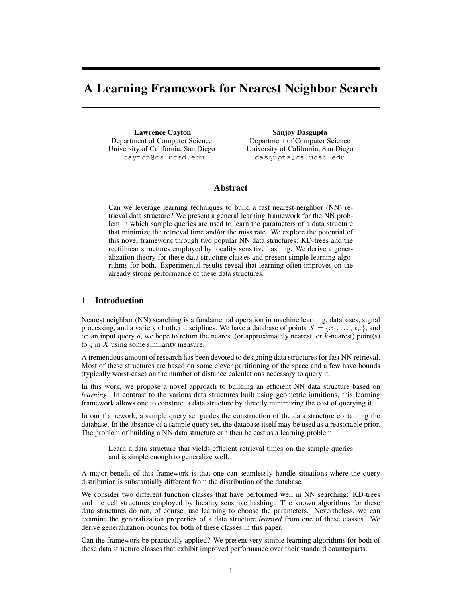# A Learning Framework for Nearest Neighbor Search

Lawrence Cayton Department of Computer Science University of California, San Diego lcayton@cs.ucsd.edu

Sanjoy Dasgupta Department of Computer Science University of California, San Diego dasgupta@cs.ucsd.edu

# Abstract

Can we leverage learning techniques to build a fast nearest-neighbor (NN) retrieval data structure? We present a general learning framework for the NN problem in which sample queries are used to learn the parameters of a data structure that minimize the retrieval time and/or the miss rate. We explore the potential of this novel framework through two popular NN data structures: KD-trees and the rectilinear structures employed by locality sensitive hashing. We derive a generalization theory for these data structure classes and present simple learning algorithms for both. Experimental results reveal that learning often improves on the already strong performance of these data structures.

# 1 Introduction

Nearest neighbor (NN) searching is a fundamental operation in machine learning, databases, signal processing, and a variety of other disciplines. We have a database of points  $X = \{x_1, \ldots, x_n\}$ , and on an input query q, we hope to return the nearest (or approximately nearest, or  $k$ -nearest) point(s) to  $q$  in  $X$  using some similarity measure.

A tremendous amount of research has been devoted to designing data structures for fast NN retrieval. Most of these structures are based on some clever partitioning of the space and a few have bounds (typically worst-case) on the number of distance calculations necessary to query it.

In this work, we propose a novel approach to building an efficient NN data structure based on *learning*. In contrast to the various data structures built using geometric intuitions, this learning framework allows one to construct a data structure by directly minimizing the cost of querying it.

In our framework, a sample query set guides the construction of the data structure containing the database. In the absence of a sample query set, the database itself may be used as a reasonable prior. The problem of building a NN data structure can then be cast as a learning problem:

Learn a data structure that yields efficient retrieval times on the sample queries and is simple enough to generalize well.

A major benefit of this framework is that one can seamlessly handle situations where the query distribution is substantially different from the distribution of the database.

We consider two different function classes that have performed well in NN searching: KD-trees and the cell structures employed by locality sensitive hashing. The known algorithms for these data structures do not, of course, use learning to choose the parameters. Nevertheless, we can examine the generalization properties of a data structure *learned* from one of these classes. We derive generalization bounds for both of these classes in this paper.

Can the framework be practically applied? We present very simple learning algorithms for both of these data structure classes that exhibit improved performance over their standard counterparts.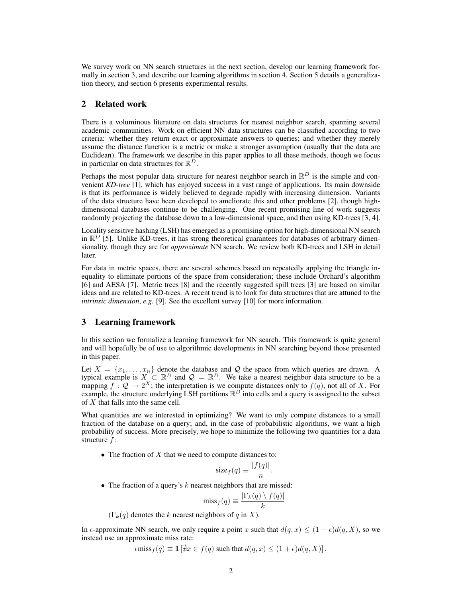We survey work on NN search structures in the next section, develop our learning framework formally in section 3, and describe our learning algorithms in section 4. Section 5 details a generalization theory, and section 6 presents experimental results.

# 2 Related work

There is a voluminous literature on data structures for nearest neighbor search, spanning several academic communities. Work on efficient NN data structures can be classified according to two criteria: whether they return exact or approximate answers to queries; and whether they merely assume the distance function is a metric or make a stronger assumption (usually that the data are Euclidean). The framework we describe in this paper applies to all these methods, though we focus in particular on data structures for  $\mathbb{R}^D$ .

Perhaps the most popular data structure for nearest neighbor search in  $\mathbb{R}^D$  is the simple and convenient *KD-tree* [1], which has enjoyed success in a vast range of applications. Its main downside is that its performance is widely believed to degrade rapidly with increasing dimension. Variants of the data structure have been developed to ameliorate this and other problems [2], though highdimensional databases continue to be challenging. One recent promising line of work suggests randomly projecting the database down to a low-dimensional space, and then using KD-trees [3, 4].

Locality sensitive hashing (LSH) has emerged as a promising option for high-dimensional NN search in  $\mathbb{R}^D$  [5]. Unlike KD-trees, it has strong theoretical guarantees for databases of arbitrary dimensionality, though they are for *approximate* NN search. We review both KD-trees and LSH in detail later.

For data in metric spaces, there are several schemes based on repeatedly applying the triangle inequality to eliminate portions of the space from consideration; these include Orchard's algorithm [6] and AESA [7]. Metric trees [8] and the recently suggested spill trees [3] are based on similar ideas and are related to KD-trees. A recent trend is to look for data structures that are attuned to the *intrinsic dimension*, *e.g.* [9]. See the excellent survey [10] for more information.

# 3 Learning framework

In this section we formalize a learning framework for NN search. This framework is quite general and will hopefully be of use to algorithmic developments in NN searching beyond those presented in this paper.

Let  $X = \{x_1, \ldots, x_n\}$  denote the database and Q the space from which queries are drawn. A typical example is  $X \subset \mathbb{R}^D$  and  $\mathcal{Q} = \mathbb{R}^D$ . We take a nearest neighbor data structure to be a mapping  $f: \mathcal{Q} \to 2^X$ ; the interpretation is we compute distances only to  $f(q)$ , not all of X. For example, the structure underlying LSH partitions  $\mathbb{R}^D$  into cells and a query is assigned to the subset of X that falls into the same cell.

What quantities are we interested in optimizing? We want to only compute distances to a small fraction of the database on a query; and, in the case of probabilistic algorithms, we want a high probability of success. More precisely, we hope to minimize the following two quantities for a data structure f:

• The fraction of  $X$  that we need to compute distances to:

$$
\operatorname{size}_f(q) \equiv \frac{|f(q)|}{n}
$$

.

• The fraction of a query's  $k$  nearest neighbors that are missed:

$$
\text{miss}_f(q) \equiv \frac{|\Gamma_k(q) \setminus f(q)|}{k}
$$

 $(\Gamma_k(q)$  denotes the k nearest neighbors of q in X).

In  $\epsilon$ -approximate NN search, we only require a point x such that  $d(q, x) \leq (1 + \epsilon)d(q, X)$ , so we instead use an approximate miss rate:

$$
\epsilon \text{miss}_f(q) \equiv \mathbf{1} \left[ \nexists x \in f(q) \text{ such that } d(q, x) \le (1 + \epsilon) d(q, X) \right].
$$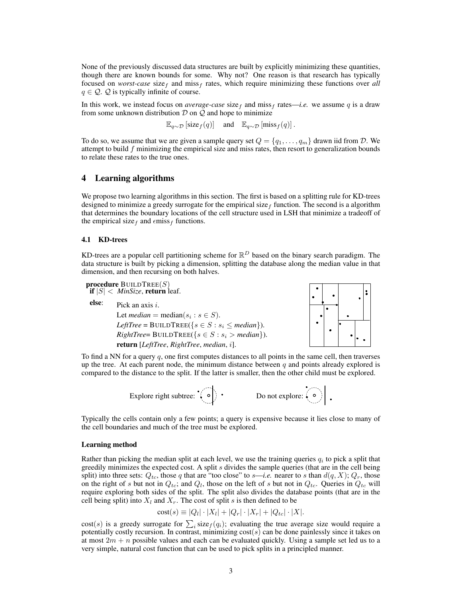None of the previously discussed data structures are built by explicitly minimizing these quantities, though there are known bounds for some. Why not? One reason is that research has typically focused on *worst-case* size<sub>f</sub> and miss<sub>f</sub> rates, which require minimizing these functions over *all*  $q \in \mathcal{Q}$ .  $\mathcal{Q}$  is typically infinite of course.

In this work, we instead focus on *average-case* size<sub>f</sub> and miss<sub>f</sub> rates—*i.e.* we assume q is a draw from some unknown distribution  $D$  on  $Q$  and hope to minimize

$$
\mathbb{E}_{q \sim \mathcal{D}}\left[\text{size}_f(q)\right] \quad \text{and} \quad \mathbb{E}_{q \sim \mathcal{D}}\left[\text{miss}_f(q)\right].
$$

To do so, we assume that we are given a sample query set  $Q = \{q_1, \ldots, q_m\}$  drawn iid from D. We attempt to build  $f$  minimizing the empirical size and miss rates, then resort to generalization bounds to relate these rates to the true ones.

# 4 Learning algorithms

We propose two learning algorithms in this section. The first is based on a splitting rule for KD-trees designed to minimize a greedy surrogate for the empirical size  $_f$  function. The second is a algorithm that determines the boundary locations of the cell structure used in LSH that minimize a tradeoff of the empirical size  $_f$  and  $\epsilon$ miss $_f$  functions.

### 4.1 KD-trees

KD-trees are a popular cell partitioning scheme for  $\mathbb{R}^D$  based on the binary search paradigm. The data structure is built by picking a dimension, splitting the database along the median value in that dimension, and then recursing on both halves.

**procedure** BUILDTREE $(S)$ if  $|S| <$  *MinSize*, return leaf. **else:** Pick an axis i. Let  $median = \text{median}(s_i : s \in S)$ .  $LeftTree = \text{BULDTREE}({s \in S : s_i \le median}).$  $RightTree = \text{BULDTREE}({s \in S : s_i > median}).$ return [*LeftTree*, *RightTree*, *median*, i].

To find a NN for a query  $q$ , one first computes distances to all points in the same cell, then traverses up the tree. At each parent node, the minimum distance between  $q$  and points already explored is compared to the distance to the split. If the latter is smaller, then the other child must be explored.

Explore right subtree: Do not explore:

Typically the cells contain only a few points; a query is expensive because it lies close to many of the cell boundaries and much of the tree must be explored.

### Learning method

Rather than picking the median split at each level, we use the training queries  $q_i$  to pick a split that greedily minimizes the expected cost. A split  $s$  divides the sample queries (that are in the cell being split) into three sets:  $Q_{tc}$ , those q that are "too close" to s—*i.e.* nearer to s than  $d(q, X)$ ;  $Q_r$ , those on the right of s but not in  $Q_{tc}$ ; and  $Q_l$ , those on the left of s but not in  $Q_{tc}$ . Queries in  $Q_{tc}$  will require exploring both sides of the split. The split also divides the database points (that are in the cell being split) into  $X_l$  and  $X_r$ . The cost of split s is then defined to be

$$
cost(s) \equiv |Q_l| \cdot |X_l| + |Q_r| \cdot |X_r| + |Q_{tc}| \cdot |X|.
$$

cost(s) is a greedy surrogate for  $\sum_i \text{size}_f(q_i)$ ; evaluating the true average size would require a potentially costly recursion. In contrast, minimizing  $cost(s)$  can be done painlessly since it takes on at most  $2m + n$  possible values and each can be evaluated quickly. Using a sample set led us to a very simple, natural cost function that can be used to pick splits in a principled manner.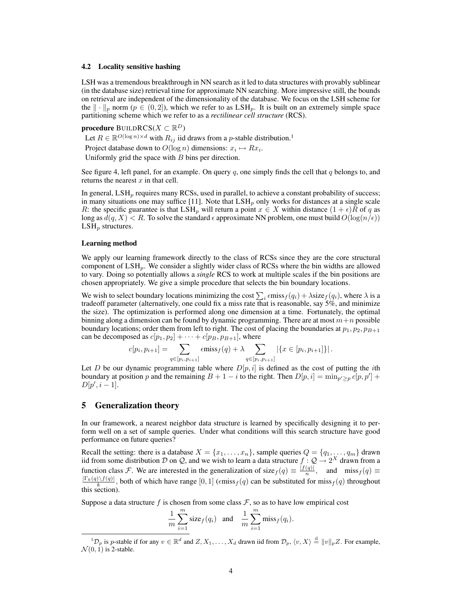### 4.2 Locality sensitive hashing

LSH was a tremendous breakthrough in NN search as it led to data structures with provably sublinear (in the database size) retrieval time for approximate NN searching. More impressive still, the bounds on retrieval are independent of the dimensionality of the database. We focus on the LSH scheme for the  $\|\cdot\|_p$  norm  $(p \in (0, 2])$ , which we refer to as  $LSH_p$ . It is built on an extremely simple space partitioning scheme which we refer to as a *rectilinear cell structure* (RCS).

# procedure  $\mathsf{BULDRCS}(X\subset\mathbb R^D)$

Let  $R \in \mathbb{R}^{O(\log n) \times d}$  with  $R_{ij}$  iid draws from a p-stable distribution.<sup>1</sup>

Project database down to  $O(\log n)$  dimensions:  $x_i \mapsto Rx_i.$ 

Uniformly grid the space with  $B$  bins per direction.

See figure 4, left panel, for an example. On query  $q$ , one simply finds the cell that  $q$  belongs to, and returns the nearest  $x$  in that cell.

In general,  $LSH_p$  requires many RCSs, used in parallel, to achieve a constant probability of success; in many situations one may suffice [11]. Note that  $LSH<sub>p</sub>$  only works for distances at a single scale R: the specific guarantee is that LSH<sub>p</sub> will return a point  $x \in X$  within distance  $(1 + \epsilon)R$  of q as long as  $d(q, X) < R$ . To solve the standard  $\epsilon$  approximate NN problem, one must build  $O(\log(n/\epsilon))$  $LSH_p$  structures.

### Learning method

We apply our learning framework directly to the class of RCSs since they are the core structural component of  $LSH_p$ . We consider a slightly wider class of RCSs where the bin widths are allowed to vary. Doing so potentially allows a *single* RCS to work at multiple scales if the bin positions are chosen appropriately. We give a simple procedure that selects the bin boundary locations.

We wish to select boundary locations minimizing the cost  $\sum_i \epsilon \text{miss}_f(q_i) + \lambda \text{size}_f(q_i)$ , where  $\lambda$  is a tradeoff parameter (alternatively, one could fix a miss rate that is reasonable, say 5%, and minimize the size). The optimization is performed along one dimension at a time. Fortunately, the optimal binning along a dimension can be found by dynamic programming. There are at most  $m+n$  possible boundary locations; order them from left to right. The cost of placing the boundaries at  $p_1, p_2, p_{B+1}$ can be decomposed as  $c[p_1, p_2] + \cdots + c[p_B, p_{B+1}]$ , where

$$
c[p_i, p_{i+1}] = \sum_{q \in [p_i, p_{i+1}]} \epsilon \text{miss}_f(q) + \lambda \sum_{q \in [p_i, p_{i+1}]} |\{x \in [p_i, p_{i+1}]\}|.
$$

Let D be our dynamic programming table where  $D[p, i]$  is defined as the cost of putting the *i*th boundary at position p and the remaining  $B + 1 - i$  to the right. Then  $D[p, i] = \min_{p' \geq p} c[p, p'] +$  $D[p', i-1].$ 

# 5 Generalization theory

In our framework, a nearest neighbor data structure is learned by specifically designing it to perform well on a set of sample queries. Under what conditions will this search structure have good performance on future queries?

Recall the setting: there is a database  $X = \{x_1, \ldots, x_n\}$ , sample queries  $Q = \{q_1, \ldots, q_m\}$  drawn iid from some distribution D on Q, and we wish to learn a data structure  $f: Q \to 2^X$  drawn from a function class *F*. We are interested in the generalization of size  $f(q) \equiv \frac{|f(q)|}{n}$  $\frac{(q)}{n}$ , and miss  $f(q) \equiv$  $\frac{|\Gamma_k(q)\setminus f(q)|}{k}$ , both of which have range  $[0, 1]$  (emiss $f(q)$  can be substituted for miss $f(q)$  throughout this section).

Suppose a data structure f is chosen from some class  $\mathcal{F}$ , so as to have low empirical cost

$$
\frac{1}{m}\sum_{i=1}^{m}\text{size}_{f}(q_i) \quad \text{and} \quad \frac{1}{m}\sum_{i=1}^{m}\text{miss}_{f}(q_i).
$$

 ${}^{1}\mathcal{D}_{p}$  is p-stable if for any  $v \in \mathbb{R}^{d}$  and  $Z, X_{1}, \ldots, X_{d}$  drawn iid from  $\mathcal{D}_{p}, \langle v, X \rangle \stackrel{d}{=} ||v||_{p}Z$ . For example,  $\mathcal{N}(0, 1)$  is 2-stable.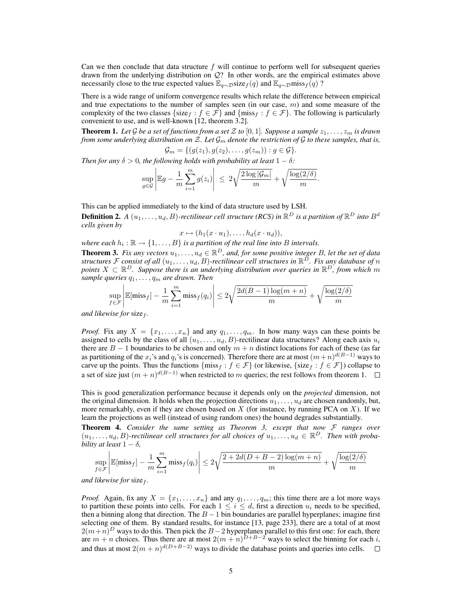Can we then conclude that data structure  $f$  will continue to perform well for subsequent queries drawn from the underlying distribution on Q? In other words, are the empirical estimates above necessarily close to the true expected values  $\mathbb{E}_{q\sim\mathcal{D}}$ size $_f(q)$  and  $\mathbb{E}_{q\sim\mathcal{D}}$ miss $_f(q)$ ?

There is a wide range of uniform convergence results which relate the difference between empirical and true expectations to the number of samples seen (in our case,  $m$ ) and some measure of the complexity of the two classes {size f :  $f \in \mathcal{F}$ } and {miss f :  $f \in \mathcal{F}$ }. The following is particularly convenient to use, and is well-known [12, theorem 3.2].

**Theorem 1.** Let G be a set of functions from a set Z to [0, 1]. Suppose a sample  $z_1, \ldots, z_m$  is drawn *from some underlying distribution on*  $Z$ *. Let*  $\mathcal{G}_m$  *denote the restriction of*  $G$  *to these samples, that is,* 

$$
\mathcal{G}_m = \{ (g(z_1), g(z_2), \ldots, g(z_m)) : g \in \mathcal{G} \}.
$$

*Then for any*  $\delta > 0$ *, the following holds with probability at least*  $1 - \delta$ *:* 

$$
\sup_{g\in\mathcal{G}}\left|\mathbb{E}g-\frac{1}{m}\sum_{i=1}^mg(z_i)\right| \leq 2\sqrt{\frac{2\log|\mathcal{G}_m|}{m}}+\sqrt{\frac{\log(2/\delta)}{m}}.
$$

This can be applied immediately to the kind of data structure used by LSH.

**Definition 2.** A  $(u_1, \ldots, u_d, B)$ -rectilinear cell structure (RCS) in  $\mathbb{R}^D$  is a partition of  $\mathbb{R}^D$  into  $B^d$ *cells given by*

$$
x \mapsto (h_1(x \cdot u_1), \dots, h_d(x \cdot u_d)),
$$

where each  $h_i : \mathbb{R} \to \{1, \ldots, B\}$  is a partition of the real line into B intervals.

**Theorem 3.** Fix any vectors  $u_1, \ldots, u_d \in \mathbb{R}^D$ , and, for some positive integer B, let the set of data structures F consist of all  $(u_1,\ldots,u_d,B)$ -rectilinear cell structures in  $\mathbb{R}^D$ . Fix any database of  $n$ points  $X \subset \mathbb{R}^D$ . Suppose there is an underlying distribution over queries in  $\mathbb{R}^D$ , from which m *sample queries*  $q_1, \ldots, q_m$  *are drawn. Then* 

$$
\sup_{f \in \mathcal{F}} \left| \mathbb{E}[\text{miss}_f] - \frac{1}{m} \sum_{i=1}^m \text{miss}_f(q_i) \right| \le 2\sqrt{\frac{2d(B-1)\log(m+n)}{m}} + \sqrt{\frac{\log(2/\delta)}{m}}
$$

*and likewise for size<sub>f</sub>*.

*Proof.* Fix any  $X = \{x_1, \ldots, x_n\}$  and any  $q_1, \ldots, q_m$ . In how many ways can these points be assigned to cells by the class of all  $(u_1, \ldots, u_d, B)$ -rectilinear data structures? Along each axis  $u_i$ there are  $B - 1$  boundaries to be chosen and only  $m + n$  distinct locations for each of these (as far as partitioning of the  $x_i$ 's and  $q_i$ 's is concerned). Therefore there are at most  $(m+n)^{d(B-1)}$  ways to carve up the points. Thus the functions  $\{\text{miss}_f : f \in \mathcal{F}\}\$  (or likewise,  $\{\text{size}_f : f \in \mathcal{F}\}\$ ) collapse to a set of size just  $(m+n)^{d(B-1)}$  when restricted to m queries; the rest follows from theorem 1.

This is good generalization performance because it depends only on the *projected* dimension, not the original dimension. It holds when the projection directions  $u_1, \ldots, u_d$  are chosen randomly, but, more remarkably, even if they are chosen based on  $X$  (for instance, by running PCA on  $X$ ). If we learn the projections as well (instead of using random ones) the bound degrades substantially.

Theorem 4. *Consider the same setting as Theorem 3, except that now* F *ranges over*  $(u_1,\ldots,u_d,B)$ -rectilinear cell structures for all choices of  $u_1,\ldots,u_d \in \mathbb{R}^D$ . Then with proba*bility at least*  $1 - \delta$ *,* 

$$
\sup_{f \in \mathcal{F}} \left| \mathbb{E}[\text{miss}_f] - \frac{1}{m} \sum_{i=1}^m \text{miss}_f(q_i) \right| \le 2\sqrt{\frac{2 + 2d(D + B - 2)\log(m + n)}{m}} + \sqrt{\frac{\log(2/\delta)}{m}}
$$

*and likewise for size*  $f$ *.* 

*Proof.* Again, fix any  $X = \{x_1, \ldots, x_n\}$  and any  $q_1, \ldots, q_m$ ; this time there are a lot more ways to partition these points into cells. For each  $1 \leq i \leq d$ , first a direction  $u_i$  needs to be specified, then a binning along that direction. The  $B - 1$  bin boundaries are parallel hyperplanes; imagine first selecting one of them. By standard results, for instance [13, page 233], there are a total of at most  $2(m+n)^{D}$  ways to do this. Then pick the  $B-2$  hyperplanes parallel to this first one: for each, there are  $m + n$  choices. Thus there are at most  $2(m + n)^{D+B-2}$  ways to select the binning for each i, and thus at most  $2(m+n)^{d(D+B-2)}$  ways to divide the database points and queries into cells.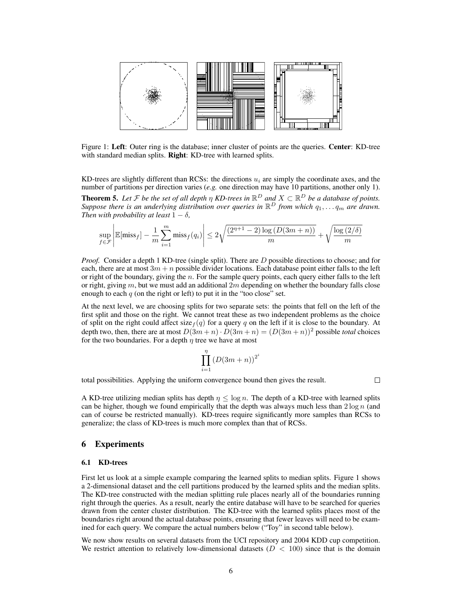

Figure 1: Left: Outer ring is the database; inner cluster of points are the queries. Center: KD-tree with standard median splits. **Right**: KD-tree with learned splits.

KD-trees are slightly different than RCSs: the directions  $u_i$  are simply the coordinate axes, and the number of partitions per direction varies (*e.g.* one direction may have 10 partitions, another only 1).

**Theorem 5.** Let F be the set of all depth  $\eta$  KD-trees in  $\mathbb{R}^D$  and  $X \subset \mathbb{R}^D$  be a database of points. Suppose there is an underlying distribution over queries in  $\mathbb{R}^D$  from which  $q_1, \ldots q_m$  are drawn. *Then with probability at least*  $1 - \delta$ ,

$$
\sup_{f \in \mathcal{F}} \left| \mathbb{E}[\text{miss}_f] - \frac{1}{m} \sum_{i=1}^m \text{miss}_f(q_i) \right| \le 2\sqrt{\frac{(2^{n+1} - 2)\log(D(3m+n))}{m}} + \sqrt{\frac{\log(2/\delta)}{m}}
$$

*Proof.* Consider a depth 1 KD-tree (single split). There are D possible directions to choose; and for each, there are at most  $3m + n$  possible divider locations. Each database point either falls to the left or right of the boundary, giving the  $n$ . For the sample query points, each query either falls to the left or right, giving m, but we must add an additional  $2m$  depending on whether the boundary falls close enough to each  $q$  (on the right or left) to put it in the "too close" set.

At the next level, we are choosing splits for two separate sets: the points that fell on the left of the first split and those on the right. We cannot treat these as two independent problems as the choice of split on the right could affect size  $f(q)$  for a query q on the left if it is close to the boundary. At depth two, then, there are at most  $D(3m + n) \cdot D(3m + n) = (D(3m + n))^2$  possible *total* choices for the two boundaries. For a depth  $\eta$  tree we have at most

$$
\prod_{i=1}^{\eta} \left( D(3m+n) \right)^{2^i}
$$

total possibilities. Applying the uniform convergence bound then gives the result.

 $\Box$ 

A KD-tree utilizing median splits has depth  $\eta \leq \log n$ . The depth of a KD-tree with learned splits can be higher, though we found empirically that the depth was always much less than  $2 \log n$  (and can of course be restricted manually). KD-trees require significantly more samples than RCSs to generalize; the class of KD-trees is much more complex than that of RCSs.

# 6 Experiments

### 6.1 KD-trees

First let us look at a simple example comparing the learned splits to median splits. Figure 1 shows a 2-dimensional dataset and the cell partitions produced by the learned splits and the median splits. The KD-tree constructed with the median splitting rule places nearly all of the boundaries running right through the queries. As a result, nearly the entire database will have to be searched for queries drawn from the center cluster distribution. The KD-tree with the learned splits places most of the boundaries right around the actual database points, ensuring that fewer leaves will need to be examined for each query. We compare the actual numbers below ("Toy" in second table below).

We now show results on several datasets from the UCI repository and 2004 KDD cup competition. We restrict attention to relatively low-dimensional datasets  $(D < 100)$  since that is the domain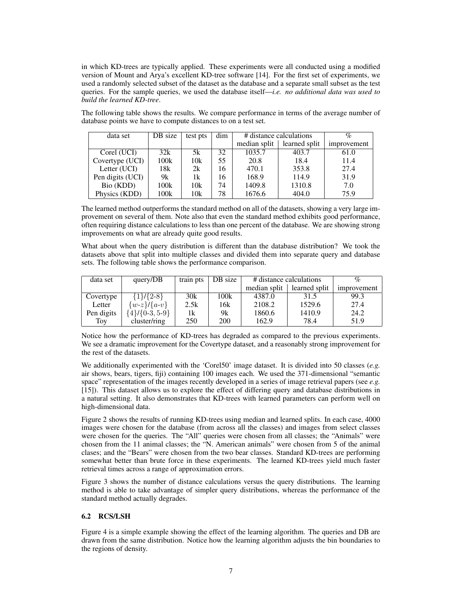in which KD-trees are typically applied. These experiments were all conducted using a modified version of Mount and Arya's excellent KD-tree software [14]. For the first set of experiments, we used a randomly selected subset of the dataset as the database and a separate small subset as the test queries. For the sample queries, we used the database itself—*i.e. no additional data was used to build the learned KD-tree*.

The following table shows the results. We compare performance in terms of the average number of database points we have to compute distances to on a test set.

| data set         | DB size | test pts | dim | # distance calculations |               | $\%$        |
|------------------|---------|----------|-----|-------------------------|---------------|-------------|
|                  |         |          |     | median split            | learned split | improvement |
| Corel (UCI)      | 32k     | 5k       | 32  | 1035.7                  | 403.7         | 61.0        |
| Covertype (UCI)  | 100k    | 10k      | 55  | 20.8                    | 18.4          | 11.4        |
| Letter (UCI)     | 18k     | 2k       | 16  | 470.1                   | 353.8         | 27.4        |
| Pen digits (UCI) | 9k      | 1k       | 16  | 168.9                   | 114.9         | 31.9        |
| Bio (KDD)        | 100k    | 10k      | 74  | 1409.8                  | 1310.8        | 7.0         |
| Physics (KDD)    | 100k    | 10k      | 78  | 1676.6                  | 404.0         | 75.9        |

The learned method outperforms the standard method on all of the datasets, showing a very large improvement on several of them. Note also that even the standard method exhibits good performance, often requiring distance calculations to less than one percent of the database. We are showing strong improvements on what are already quite good results.

What about when the query distribution is different than the database distribution? We took the datasets above that split into multiple classes and divided them into separate query and database sets. The following table shows the performance comparison.

| data set   | query/DB              | train pts | DB size | # distance calculations |               | $\%$        |
|------------|-----------------------|-----------|---------|-------------------------|---------------|-------------|
|            |                       |           |         | median split            | learned split | improvement |
| Covertype  | {1}/{2-8}             | 30k       | 100k    | 4387.0                  | 31.5          | 99.3        |
| Letter     | $\{w-z\}$ / $\{a-v\}$ | 2.5k      | 16k     | 2108.2                  | 1529.6        | 27.4        |
| Pen digits | ${4}$ / ${0-3, 5-9}$  | 1k.       | 9k      | 1860.6                  | 1410.9        | 24.2        |
| Toy        | cluster/ring          | 250       | 200     | 162.9                   | 78.4          | 51.9        |

Notice how the performance of KD-trees has degraded as compared to the previous experiments. We see a dramatic improvement for the Covertype dataset, and a reasonably strong improvement for the rest of the datasets.

We additionally experimented with the 'Corel50' image dataset. It is divided into 50 classes (*e.g.* air shows, bears, tigers, fiji) containing 100 images each. We used the 371-dimensional "semantic space" representation of the images recently developed in a series of image retrieval papers (see *e.g.* [15]). This dataset allows us to explore the effect of differing query and database distributions in a natural setting. It also demonstrates that KD-trees with learned parameters can perform well on high-dimensional data.

Figure 2 shows the results of running KD-trees using median and learned splits. In each case, 4000 images were chosen for the database (from across all the classes) and images from select classes were chosen for the queries. The "All" queries were chosen from all classes; the "Animals" were chosen from the 11 animal classes; the "N. American animals" were chosen from 5 of the animal clases; and the "Bears" were chosen from the two bear classes. Standard KD-trees are performing somewhat better than brute force in these experiments. The learned KD-trees yield much faster retrieval times across a range of approximation errors.

Figure 3 shows the number of distance calculations versus the query distributions. The learning method is able to take advantage of simpler query distributions, whereas the performance of the standard method actually degrades.

# 6.2 RCS/LSH

Figure 4 is a simple example showing the effect of the learning algorithm. The queries and DB are drawn from the same distribution. Notice how the learning algorithm adjusts the bin boundaries to the regions of density.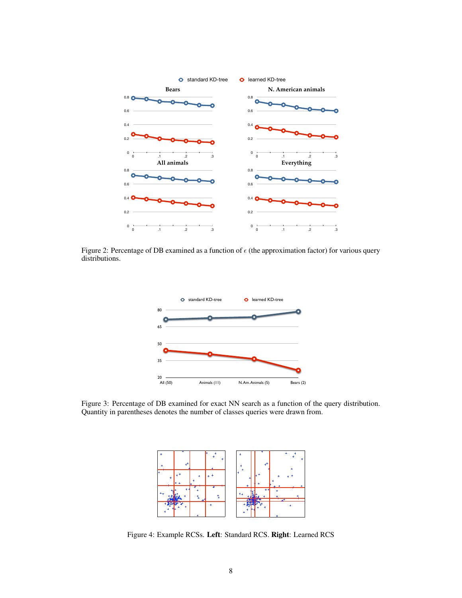

Figure 2: Percentage of DB examined as a function of  $\epsilon$  (the approximation factor) for various query distributions.



Figure 3: Percentage of DB examined for exact NN search as a function of the query distribution. Quantity in parentheses denotes the number of classes queries were drawn from.



Figure 4: Example RCSs. Left: Standard RCS. Right: Learned RCS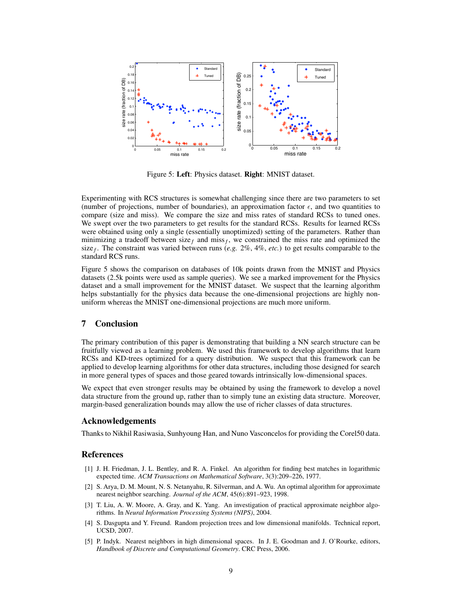

Figure 5: Left: Physics dataset. Right: MNIST dataset.

Experimenting with RCS structures is somewhat challenging since there are two parameters to set (number of projections, number of boundaries), an approximation factor  $\epsilon$ , and two quantities to compare (size and miss). We compare the size and miss rates of standard RCSs to tuned ones. We swept over the two parameters to get results for the standard RCSs. Results for learned RCSs were obtained using only a single (essentially unoptimized) setting of the parameters. Rather than minimizing a tradeoff between size<sub>f</sub> and miss<sub>f</sub>, we constrained the miss rate and optimized the size<sub>f</sub>. The constraint was varied between runs (*e.g.* 2%, 4%, *etc.*) to get results comparable to the standard RCS runs.

Figure 5 shows the comparison on databases of 10k points drawn from the MNIST and Physics datasets (2.5k points were used as sample queries). We see a marked improvement for the Physics dataset and a small improvement for the MNIST dataset. We suspect that the learning algorithm helps substantially for the physics data because the one-dimensional projections are highly nonuniform whereas the MNIST one-dimensional projections are much more uniform.

# 7 Conclusion

The primary contribution of this paper is demonstrating that building a NN search structure can be fruitfully viewed as a learning problem. We used this framework to develop algorithms that learn RCSs and KD-trees optimized for a query distribution. We suspect that this framework can be applied to develop learning algorithms for other data structures, including those designed for search in more general types of spaces and those geared towards intrinsically low-dimensional spaces.

We expect that even stronger results may be obtained by using the framework to develop a novel data structure from the ground up, rather than to simply tune an existing data structure. Moreover, margin-based generalization bounds may allow the use of richer classes of data structures.

# Acknowledgements

Thanks to Nikhil Rasiwasia, Sunhyoung Han, and Nuno Vasconcelos for providing the Corel50 data.

### References

- [1] J. H. Friedman, J. L. Bentley, and R. A. Finkel. An algorithm for finding best matches in logarithmic expected time. *ACM Transactions on Mathematical Software*, 3(3):209–226, 1977.
- [2] S. Arya, D. M. Mount, N. S. Netanyahu, R. Silverman, and A. Wu. An optimal algorithm for approximate nearest neighbor searching. *Journal of the ACM*, 45(6):891–923, 1998.
- [3] T. Liu, A. W. Moore, A. Gray, and K. Yang. An investigation of practical approximate neighbor algorithms. In *Neural Information Processing Systems (NIPS)*, 2004.
- [4] S. Dasgupta and Y. Freund. Random projection trees and low dimensional manifolds. Technical report, UCSD, 2007.
- [5] P. Indyk. Nearest neighbors in high dimensional spaces. In J. E. Goodman and J. O'Rourke, editors, *Handbook of Discrete and Computational Geometry*. CRC Press, 2006.